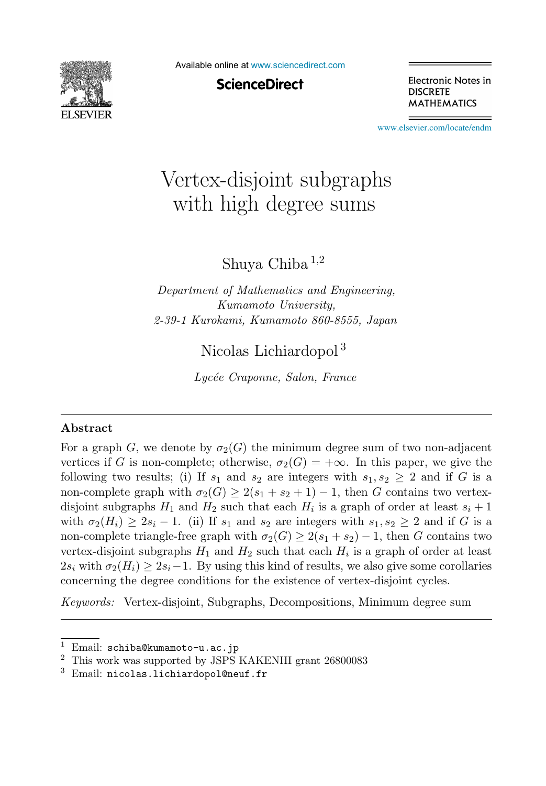

Available online at [www.sciencedirect.com](http://www.sciencedirect.com)

**ScienceDirect** 

Electronic Notes in **DISCRETE MATHEMATICS** 

[www.elsevier.com/locate/endm](http://www.elsevier.com/locate/endm)

# Vertex-disjoint subgraphs with high degree sums

Shuya Chiba <sup>1</sup>,<sup>2</sup>

*Department of Mathematics and Engineering, Kumamoto University, 2-39-1 Kurokami, Kumamoto 860-8555, Japan*

Nicolas Lichiardopol <sup>3</sup>

*Lyc´ee Craponne, Salon, France*

#### **Abstract**

For a graph G, we denote by  $\sigma_2(G)$  the minimum degree sum of two non-adjacent vertices if G is non-complete; otherwise,  $\sigma_2(G)=+\infty$ . In this paper, we give the following two results; (i) If  $s_1$  and  $s_2$  are integers with  $s_1, s_2 \geq 2$  and if G is a non-complete graph with  $\sigma_2(G) \geq 2(s_1 + s_2 + 1) - 1$ , then G contains two vertexdisjoint subgraphs  $H_1$  and  $H_2$  such that each  $H_i$  is a graph of order at least  $s_i + 1$ with  $\sigma_2(H_i) \geq 2s_i - 1$ . (ii) If  $s_1$  and  $s_2$  are integers with  $s_1, s_2 \geq 2$  and if G is a non-complete triangle-free graph with  $\sigma_2(G) \geq 2(s_1 + s_2) - 1$ , then G contains two vertex-disjoint subgraphs  $H_1$  and  $H_2$  such that each  $H_i$  is a graph of order at least  $2s_i$  with  $\sigma_2(H_i) \geq 2s_i-1$ . By using this kind of results, we also give some corollaries concerning the degree conditions for the existence of vertex-disjoint cycles.

*Keywords:* Vertex-disjoint, Subgraphs, Decompositions, Minimum degree sum

 $1$  Email: schiba@kumamoto-u.ac.jp

<sup>2</sup> This work was supported by JSPS KAKENHI grant 26800083

 $3$  Email: nicolas.lichiardopol@neuf.fr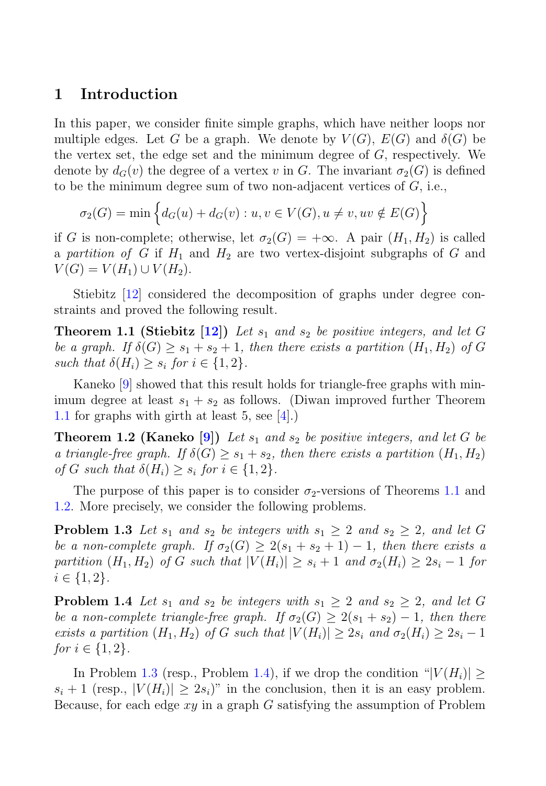### **1 Introduction**

In this paper, we consider finite simple graphs, which have neither loops nor multiple edges. Let G be a graph. We denote by  $V(G)$ ,  $E(G)$  and  $\delta(G)$  be the vertex set, the edge set and the minimum degree of G, respectively. We denote by  $d_G(v)$  the degree of a vertex v in G. The invariant  $\sigma_2(G)$  is defined to be the minimum degree sum of two non-adjacent vertices of  $G$ , i.e.,

$$
\sigma_2(G) = \min \left\{ d_G(u) + d_G(v) : u, v \in V(G), u \neq v, uv \notin E(G) \right\}
$$

if G is non-complete; otherwise, let  $\sigma_2(G)=+\infty$ . A pair  $(H_1, H_2)$  is called a partition of G if  $H_1$  and  $H_2$  are two vertex-disjoint subgraphs of G and  $V(G) = V(H_1) \cup V(H_2).$ 

Stiebitz [12] considered the decomposition of graphs under degree constraints and proved the following result.

**Theorem 1.1 (Stiebitz [12])** Let  $s_1$  and  $s_2$  be positive integers, and let G be a graph. If  $\delta(G) \geq s_1 + s_2 + 1$ , then there exists a partition  $(H_1, H_2)$  of G such that  $\delta(H_i) \geq s_i$  for  $i \in \{1,2\}$ .

Kaneko [9] showed that this result holds for triangle-free graphs with minimum degree at least  $s_1 + s_2$  as follows. (Diwan improved further Theorem 1.1 for graphs with girth at least 5, see [4].)

**Theorem 1.2 (Kaneko [9])** Let  $s_1$  and  $s_2$  be positive integers, and let G be a triangle-free graph. If  $\delta(G) \geq s_1 + s_2$ , then there exists a partition  $(H_1, H_2)$ of G such that  $\delta(H_i) > s_i$  for  $i \in \{1,2\}$ .

The purpose of this paper is to consider  $\sigma_2$ -versions of Theorems 1.1 and 1.2. More precisely, we consider the following problems.

**Problem 1.3** Let  $s_1$  and  $s_2$  be integers with  $s_1 \geq 2$  and  $s_2 \geq 2$ , and let G be a non-complete graph. If  $\sigma_2(G) \geq 2(s_1 + s_2 + 1) - 1$ , then there exists a partition  $(H_1, H_2)$  of G such that  $|V(H_i)| \geq s_i + 1$  and  $\sigma_2(H_i) \geq 2s_i - 1$  for  $i \in \{1, 2\}.$ 

**Problem 1.4** Let  $s_1$  and  $s_2$  be integers with  $s_1 \geq 2$  and  $s_2 \geq 2$ , and let G be a non-complete triangle-free graph. If  $\sigma_2(G) \geq 2(s_1 + s_2) - 1$ , then there exists a partition  $(H_1, H_2)$  of G such that  $|V(H_i)| \geq 2s_i$  and  $\sigma_2(H_i) \geq 2s_i - 1$ *for*  $i \in \{1, 2\}$ .

In Problem 1.3 (resp., Problem 1.4), if we drop the condition " $|V(H_i)|$  >  $s_i + 1$  (resp.,  $|V(H_i)| > 2s_i$ )" in the conclusion, then it is an easy problem. Because, for each edge  $xy$  in a graph G satisfying the assumption of Problem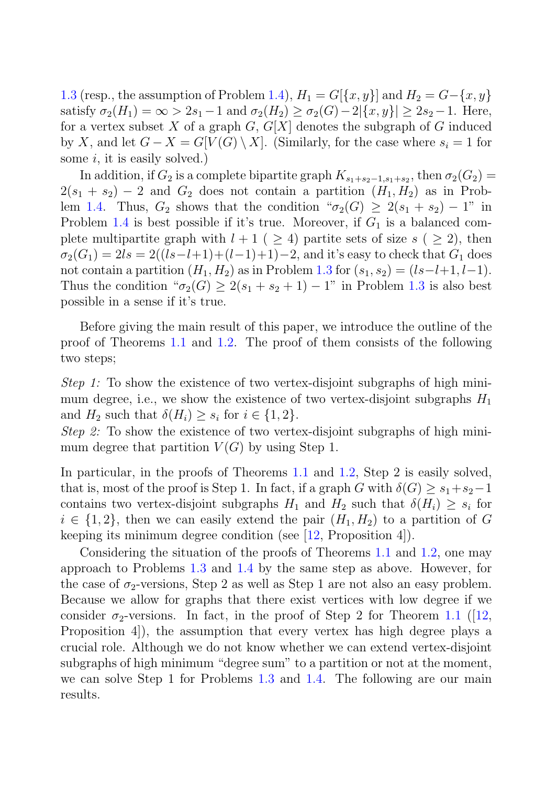1.3 (resp., the assumption of Problem 1.4),  $H_1 = G[{x, y}]$  and  $H_2 = G-{x, y}$ satisfy  $\sigma_2(H_1) = \infty > 2s_1 - 1$  and  $\sigma_2(H_2) > \sigma_2(G) - 2|\{x, y\}| > 2s_2 - 1$ . Here, for a vertex subset X of a graph  $G, G[X]$  denotes the subgraph of G induced by X, and let  $G - X = G[V(G) \setminus X]$ . (Similarly, for the case where  $s_i = 1$  for some  $i$ , it is easily solved.)

In addition, if  $G_2$  is a complete bipartite graph  $K_{s_1+s_2-1,s_1+s_2}$ , then  $\sigma_2(G_2)$  =  $2(s_1 + s_2) - 2$  and  $G_2$  does not contain a partition  $(H_1, H_2)$  as in Problem 1.4. Thus,  $G_2$  shows that the condition " $\sigma_2(G) \geq 2(s_1 + s_2) - 1$ " in Problem 1.4 is best possible if it's true. Moreover, if  $G_1$  is a balanced complete multipartite graph with  $l + 1$  (  $\geq 4$ ) partite sets of size  $s$  (  $\geq 2$ ), then  $\sigma_2(G_1)=2ls = 2((ls-l+1)+(l-1)+1)-2$ , and it's easy to check that  $G_1$  does not contain a partition  $(H_1, H_2)$  as in Problem 1.3 for  $(s_1, s_2)=(ls-l+1, l-1)$ . Thus the condition " $\sigma_2(G) \geq 2(s_1 + s_2 + 1) - 1$ " in Problem 1.3 is also best possible in a sense if it's true.

Before giving the main result of this paper, we introduce the outline of the proof of Theorems 1.1 and 1.2. The proof of them consists of the following two steps;

Step 1: To show the existence of two vertex-disjoint subgraphs of high minimum degree, i.e., we show the existence of two vertex-disjoint subgraphs  $H_1$ and  $H_2$  such that  $\delta(H_i) \geq s_i$  for  $i \in \{1,2\}.$ 

*Step 2:* To show the existence of two vertex-disjoint subgraphs of high minimum degree that partition  $V(G)$  by using Step 1.

In particular, in the proofs of Theorems 1.1 and 1.2, Step 2 is easily solved, that is, most of the proof is Step 1. In fact, if a graph G with  $\delta(G) \geq s_1 + s_2 - 1$ contains two vertex-disjoint subgraphs  $H_1$  and  $H_2$  such that  $\delta(H_i) \geq s_i$  for  $i \in \{1,2\}$ , then we can easily extend the pair  $(H_1, H_2)$  to a partition of G keeping its minimum degree condition (see  $|12$ , Proposition 4.).

Considering the situation of the proofs of Theorems 1.1 and 1.2, one may approach to Problems 1.3 and 1.4 by the same step as above. However, for the case of  $\sigma_2$ -versions, Step 2 as well as Step 1 are not also an easy problem. Because we allow for graphs that there exist vertices with low degree if we consider  $\sigma_2$ -versions. In fact, in the proof of Step 2 for Theorem 1.1 ([12, Proposition 4]), the assumption that every vertex has high degree plays a crucial role. Although we do not know whether we can extend vertex-disjoint subgraphs of high minimum "degree sum" to a partition or not at the moment, we can solve Step 1 for Problems 1.3 and 1.4. The following are our main results.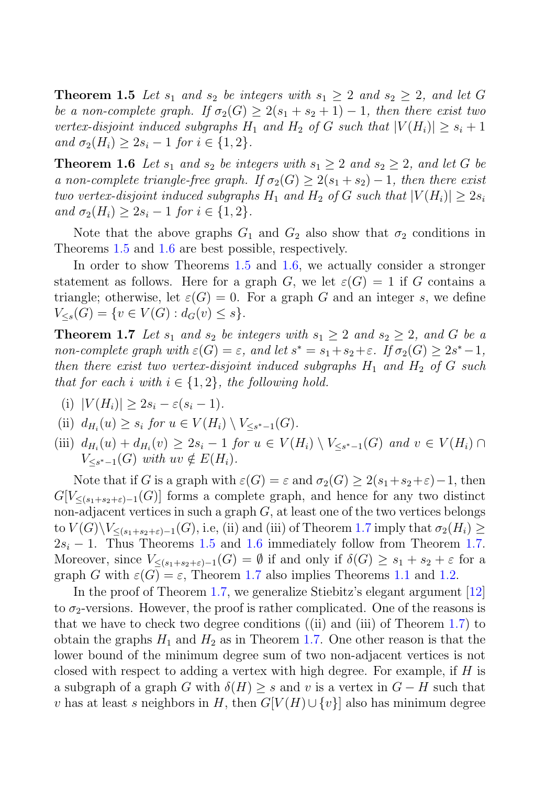**Theorem 1.5** Let  $s_1$  and  $s_2$  be integers with  $s_1 \geq 2$  and  $s_2 \geq 2$ , and let G be a non-complete graph. If  $\sigma_2(G) \geq 2(s_1 + s_2 + 1) - 1$ , then there exist two vertex-disjoint induced subgraphs  $H_1$  and  $H_2$  of G such that  $|V(H_i)| \geq s_i + 1$ and  $\sigma_2(H_i) \geq 2s_i - 1$  for  $i \in \{1, 2\}.$ 

**Theorem 1.6** Let  $s_1$  and  $s_2$  be integers with  $s_1 \geq 2$  and  $s_2 \geq 2$ , and let G be a non-complete triangle-free graph. If  $\sigma_2(G) \geq 2(s_1 + s_2) - 1$ , then there exist two vertex-disjoint induced subgraphs  $H_1$  and  $H_2$  of G such that  $|V(H_i)| \geq 2s_i$ and  $\sigma_2(H_i) \geq 2s_i - 1$  for  $i \in \{1, 2\}.$ 

Note that the above graphs  $G_1$  and  $G_2$  also show that  $\sigma_2$  conditions in Theorems 1.5 and 1.6 are best possible, respectively.

In order to show Theorems 1.5 and 1.6, we actually consider a stronger statement as follows. Here for a graph G, we let  $\varepsilon(G) = 1$  if G contains a triangle; otherwise, let  $\varepsilon(G) = 0$ . For a graph G and an integer s, we define  $V_{\leq s}(G) = \{v \in V(G) : d_G(v) \leq s\}.$ 

**Theorem 1.7** Let  $s_1$  and  $s_2$  be integers with  $s_1 \geq 2$  and  $s_2 \geq 2$ , and G be a non-complete graph with  $\varepsilon(G) = \varepsilon$ , and let  $s^* = s_1 + s_2 + \varepsilon$ . If  $\sigma_2(G) \geq 2s^* - 1$ , then there exist two vertex-disjoint induced subgraphs  $H_1$  and  $H_2$  of G such that for each i with  $i \in \{1,2\}$ , the following hold.

(i) 
$$
|V(H_i)| \geq 2s_i - \varepsilon (s_i - 1).
$$

(ii) 
$$
d_{H_i}(u) \geq s_i
$$
 for  $u \in V(H_i) \setminus V_{\leq s^*-1}(G)$ .

(iii)  $d_{H_i}(u) + d_{H_i}(v) \geq 2s_i - 1$  for  $u \in V(H_i) \setminus V_{\leq s^* - 1}(G)$  and  $v \in V(H_i) \cap$  $V_{\leq s^*-1}(G)$  with  $uv \notin E(H_i)$ .

Note that if G is a graph with  $\varepsilon(G) = \varepsilon$  and  $\sigma_2(G) \geq 2(s_1 + s_2 + \varepsilon) - 1$ , then  $G[V_{\leq (s_1+s_2+\varepsilon)-1}(G)]$  forms a complete graph, and hence for any two distinct non-adjacent vertices in such a graph  $G$ , at least one of the two vertices belongs to  $V(G)\backslash V_{\leq (s_1+s_2+\varepsilon)-1}(G)$ , i.e, (ii) and (iii) of Theorem 1.7 imply that  $\sigma_2(H_i) \geq$  $2s_i - 1$ . Thus Theorems 1.5 and 1.6 immediately follow from Theorem 1.7. Moreover, since  $V_{\leq (s_1+s_2+\varepsilon)-1}(G)=\emptyset$  if and only if  $\delta(G)\geq s_1+s_2+\varepsilon$  for a graph G with  $\varepsilon(G) = \varepsilon$ , Theorem 1.7 also implies Theorems 1.1 and 1.2.

In the proof of Theorem 1.7, we generalize Stiebitz's elegant argument [12] to  $\sigma_2$ -versions. However, the proof is rather complicated. One of the reasons is that we have to check two degree conditions ((ii) and (iii) of Theorem 1.7) to obtain the graphs  $H_1$  and  $H_2$  as in Theorem 1.7. One other reason is that the lower bound of the minimum degree sum of two non-adjacent vertices is not closed with respect to adding a vertex with high degree. For example, if  $H$  is a subgraph of a graph G with  $\delta(H) \geq s$  and v is a vertex in  $G - H$  such that v has at least s neighbors in H, then  $G[V(H) \cup \{v\}]$  also has minimum degree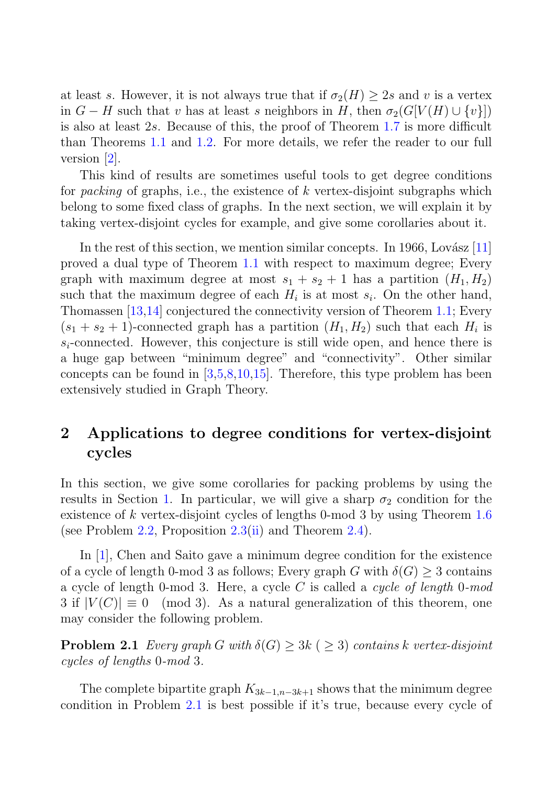at least s. However, it is not always true that if  $\sigma_2(H) \geq 2s$  and v is a vertex in  $G - H$  such that v has at least s neighbors in H, then  $\sigma_2(G[V(H) \cup \{v\}])$ is also at least 2s. Because of this, the proof of Theorem 1.7 is more difficult than Theorems 1.1 and 1.2. For more details, we refer the reader to our full version [2].

This kind of results are sometimes useful tools to get degree conditions for packing of graphs, i.e., the existence of k vertex-disjoint subgraphs which belong to some fixed class of graphs. In the next section, we will explain it by taking vertex-disjoint cycles for example, and give some corollaries about it.

In the rest of this section, we mention similar concepts. In 1966, Lovász  $[11]$ proved a dual type of Theorem 1.1 with respect to maximum degree; Every graph with maximum degree at most  $s_1 + s_2 + 1$  has a partition  $(H_1, H_2)$ such that the maximum degree of each  $H_i$  is at most  $s_i$ . On the other hand, Thomassen [13,14] conjectured the connectivity version of Theorem 1.1; Every  $(s_1 + s_2 + 1)$ -connected graph has a partition  $(H_1, H_2)$  such that each  $H_i$  is  $s_i$ -connected. However, this conjecture is still wide open, and hence there is a huge gap between "minimum degree" and "connectivity". Other similar concepts can be found in  $[3,5,8,10,15]$ . Therefore, this type problem has been extensively studied in Graph Theory.

## **2 Applications to degree conditions for vertex-disjoint cycles**

In this section, we give some corollaries for packing problems by using the results in Section 1. In particular, we will give a sharp  $\sigma_2$  condition for the existence of k vertex-disjoint cycles of lengths 0-mod 3 by using Theorem 1.6 (see Problem 2.2, Proposition  $2.3$ (ii) and Theorem 2.4).

In [1], Chen and Saito gave a minimum degree condition for the existence of a cycle of length 0-mod 3 as follows; Every graph G with  $\delta(G) \geq 3$  contains a cycle of length 0-mod 3. Here, a cycle C is called a cycle of length 0-mod 3 if  $|V(C)| \equiv 0 \pmod{3}$ . As a natural generalization of this theorem, one may consider the following problem.

**Problem 2.1** Every graph G with  $\delta(G) \geq 3k$  ( $\geq 3$ ) contains k vertex-disjoint cycles of lengths 0-mod 3.

The complete bipartite graph  $K_{3k-1,n-3k+1}$  shows that the minimum degree condition in Problem 2.1 is best possible if it's true, because every cycle of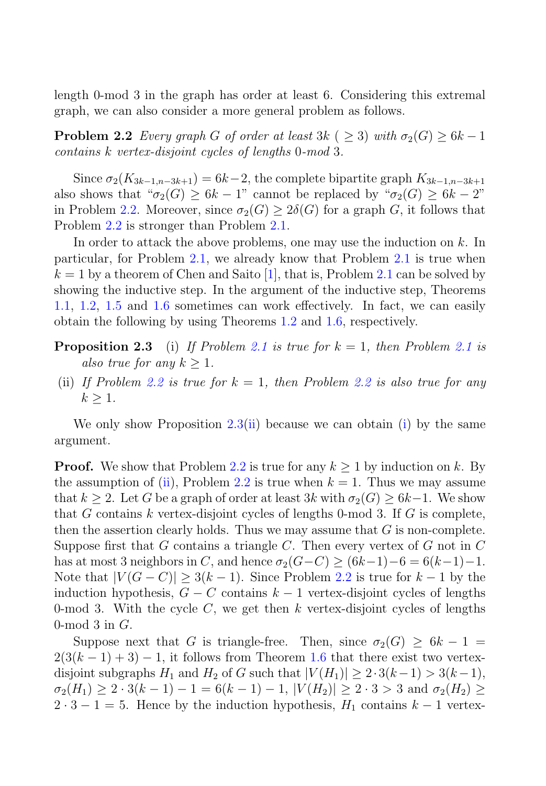length 0-mod 3 in the graph has order at least 6. Considering this extremal graph, we can also consider a more general problem as follows.

**Problem 2.2** Every graph G of order at least 3k ( $\geq$  3) with  $\sigma_2(G) \geq 6k - 1$ contains k vertex-disjoint cycles of lengths 0-mod 3.

Since  $\sigma_2(K_{3k-1,n-3k+1})=6k-2$ , the complete bipartite graph  $K_{3k-1,n-3k+1}$ also shows that " $\sigma_2(G) \geq 6k - 1$ " cannot be replaced by " $\sigma_2(G) \geq 6k - 2$ " in Problem 2.2. Moreover, since  $\sigma_2(G) > 2\delta(G)$  for a graph G, it follows that Problem 2.2 is stronger than Problem 2.1.

In order to attack the above problems, one may use the induction on k. In particular, for Problem 2.1, we already know that Problem 2.1 is true when  $k = 1$  by a theorem of Chen and Saito [1], that is, Problem 2.1 can be solved by showing the inductive step. In the argument of the inductive step, Theorems 1.1, 1.2, 1.5 and 1.6 sometimes can work effectively. In fact, we can easily obtain the following by using Theorems 1.2 and 1.6, respectively.

- **Proposition 2.3** (i) If Problem 2.1 is true for  $k = 1$ , then Problem 2.1 is also true for any  $k \geq 1$ .
- (ii) If Problem 2.2 is true for  $k = 1$ , then Problem 2.2 is also true for any  $k > 1$ .

We only show Proposition  $2.3(ii)$  because we can obtain (i) by the same argument.

**Proof.** We show that Problem 2.2 is true for any  $k \geq 1$  by induction on k. By the assumption of (ii), Problem 2.2 is true when  $k = 1$ . Thus we may assume that  $k \geq 2$ . Let G be a graph of order at least 3k with  $\sigma_2(G) \geq 6k-1$ . We show that G contains k vertex-disjoint cycles of lengths 0-mod 3. If G is complete, then the assertion clearly holds. Thus we may assume that  $G$  is non-complete. Suppose first that  $G$  contains a triangle  $C$ . Then every vertex of  $G$  not in  $C$ has at most 3 neighbors in C, and hence  $\sigma_2(G-C) \geq (6k-1)-6 = 6(k-1)-1$ . Note that  $|V(G - C)| \geq 3(k-1)$ . Since Problem 2.2 is true for  $k-1$  by the induction hypothesis,  $G - C$  contains  $k - 1$  vertex-disjoint cycles of lengths 0-mod 3. With the cycle  $C$ , we get then k vertex-disjoint cycles of lengths 0-mod  $3$  in  $G$ .

Suppose next that G is triangle-free. Then, since  $\sigma_2(G) \geq 6k - 1$  $2(3(k-1)+3)-1$ , it follows from Theorem 1.6 that there exist two vertexdisjoint subgraphs  $H_1$  and  $H_2$  of G such that  $|V(H_1)| \geq 2 \cdot 3(k-1) > 3(k-1)$ ,  $\sigma_2(H_1) \geq 2 \cdot 3(k-1) - 1 = 6(k-1) - 1$ ,  $|V(H_2)| \geq 2 \cdot 3 > 3$  and  $\sigma_2(H_2) \geq$  $2 \cdot 3 - 1 = 5$ . Hence by the induction hypothesis,  $H_1$  contains  $k - 1$  vertex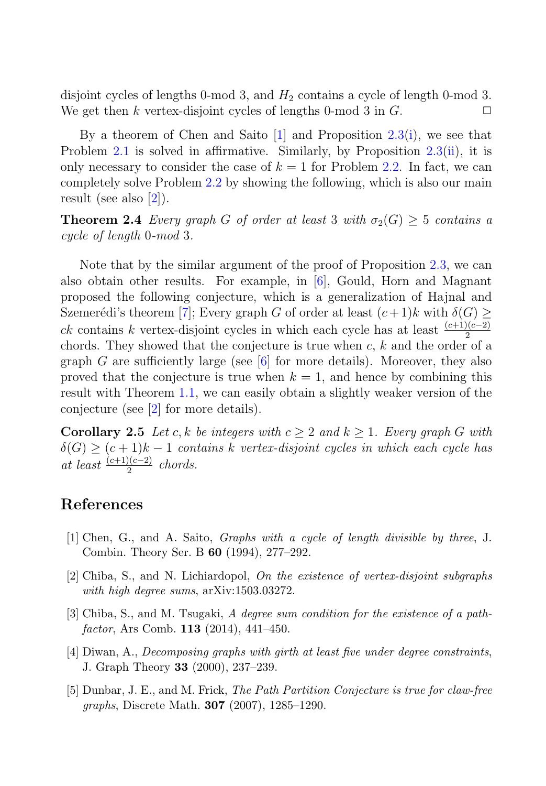disjoint cycles of lengths 0-mod 3, and  $H_2$  contains a cycle of length 0-mod 3. We get then k vertex-disjoint cycles of lengths 0-mod 3 in  $G$ .

By a theorem of Chen and Saito  $[1]$  and Proposition 2.3(i), we see that Problem 2.1 is solved in affirmative. Similarly, by Proposition 2.3(ii), it is only necessary to consider the case of  $k = 1$  for Problem 2.2. In fact, we can completely solve Problem 2.2 by showing the following, which is also our main result (see also  $|2|$ ).

**Theorem 2.4** Every graph G of order at least 3 with  $\sigma_2(G) > 5$  contains a cycle of length 0-mod 3.

Note that by the similar argument of the proof of Proposition 2.3, we can also obtain other results. For example, in [6], Gould, Horn and Magnant proposed the following conjecture, which is a generalization of Hajnal and Szemerédi's theorem [7]; Every graph G of order at least  $(c+1)k$  with  $\delta(G) \geq$ ck contains k vertex-disjoint cycles in which each cycle has at least  $\frac{(c+1)(c-2)}{2}$ chords. They showed that the conjecture is true when  $c, k$  and the order of a graph G are sufficiently large (see  $\lceil 6 \rceil$  for more details). Moreover, they also proved that the conjecture is true when  $k = 1$ , and hence by combining this result with Theorem 1.1, we can easily obtain a slightly weaker version of the conjecture (see [2] for more details).

**Corollary 2.5** Let c, k be integers with  $c > 2$  and  $k > 1$ . Every graph G with  $\delta(G) \ge (c+1)k-1$  contains k vertex-disjoint cycles in which each cycle has at least  $\frac{(c+1)(c-2)}{2}$  chords.

#### **References**

- [1] Chen, G., and A. Saito, *Graphs with a cycle of length divisible by three*, J. Combin. Theory Ser. B **60** (1994), 277–292.
- [2] Chiba, S., and N. Lichiardopol, *On the existence of vertex-disjoint subgraphs with high degree sums*, arXiv:1503.03272.
- [3] Chiba, S., and M. Tsugaki, *A degree sum condition for the existence of a pathfactor*, Ars Comb. **113** (2014), 441–450.
- [4] Diwan, A., *Decomposing graphs with girth at least five under degree constraints*, J. Graph Theory **33** (2000), 237–239.
- [5] Dunbar, J. E., and M. Frick, *The Path Partition Conjecture is true for claw-free graphs*, Discrete Math. **307** (2007), 1285–1290.